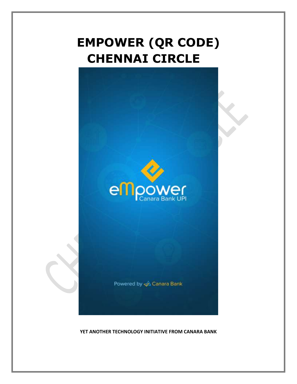# **EMPOWER (QR CODE) CHENNAI CIRCLE**



Powered by & Canara Bank

**YET ANOTHER TECHNOLOGY INITIATIVE FROM CANARA BANK**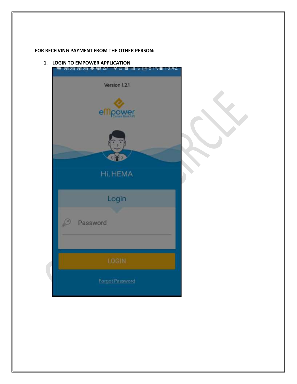### **FOR RECEIVING PAYMENT FROM THE OTHER PERSON:**

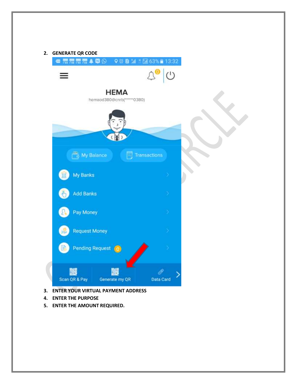| $\circledcirc$ $\circlearrowright$<br>HEMA<br>hemaod380@cnrb(******0380)<br>My Balance<br>Transactions<br>My Banks<br>ΪIΙ<br><b>Add Banks</b><br>Pay Money<br><b>Request Money</b> |  | ● 霜霜霜霜 ▲ 日 ⊙ ○ ○ 日 3 世 13:32 |  |
|------------------------------------------------------------------------------------------------------------------------------------------------------------------------------------|--|------------------------------|--|
|                                                                                                                                                                                    |  |                              |  |
|                                                                                                                                                                                    |  |                              |  |
|                                                                                                                                                                                    |  |                              |  |
|                                                                                                                                                                                    |  |                              |  |
|                                                                                                                                                                                    |  |                              |  |
|                                                                                                                                                                                    |  |                              |  |
|                                                                                                                                                                                    |  |                              |  |
|                                                                                                                                                                                    |  |                              |  |
|                                                                                                                                                                                    |  |                              |  |
|                                                                                                                                                                                    |  |                              |  |
|                                                                                                                                                                                    |  |                              |  |
|                                                                                                                                                                                    |  |                              |  |
| <b>Pending Request</b>                                                                                                                                                             |  |                              |  |
|                                                                                                                                                                                    |  |                              |  |

- **4. ENTER THE PURPOSE**
- **5. ENTER THE AMOUNT REQUIRED.**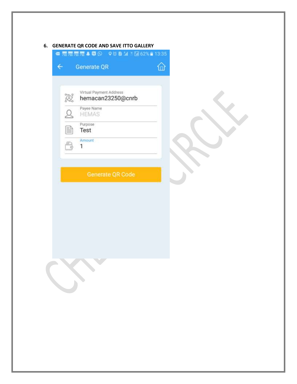## **6. GENERATE QR CODE AND SAVE ITTO GALLERY**

| jo. | Virtual Payment Address<br>hemacan23250@cnrb |
|-----|----------------------------------------------|
|     | Payee Name<br><b>HEMAS</b>                   |
|     | Purpose<br>Test                              |
|     | Amount<br>1                                  |
|     | Generate QR Code                             |

 $\propto$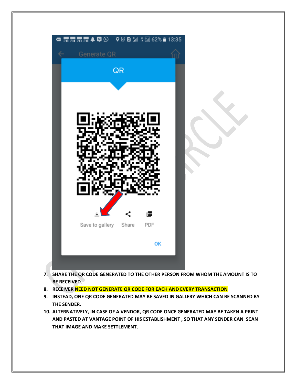

- **7. SHARE THE QR CODE GENERATED TO THE OTHER PERSON FROM WHOM THE AMOUNT IS TO BE RECEIVED.**
- **8. RECEIVER NEED NOT GENERATE QR CODE FOR EACH AND EVERY TRANSACTION**
- **9. INSTEAD, ONE QR CODE GENERATED MAY BE SAVED IN GALLERY WHICH CAN BE SCANNED BY THE SENDER.**
- **10. ALTERNATIVELY, IN CASE OF A VENDOR, QR CODE ONCE GENERATED MAY BE TAKEN A PRINT AND PASTED AT VANTAGE POINT OF HIS ESTABLISHMENT , SO THAT ANY SENDER CAN SCAN THAT IMAGE AND MAKE SETTLEMENT.**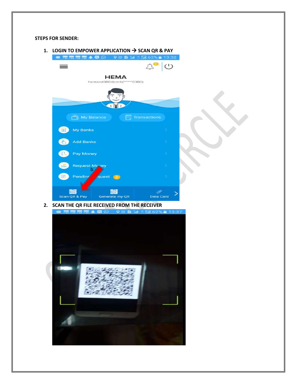#### **STEPS FOR SENDER:**





- - - -
			- -
		-
	-
	-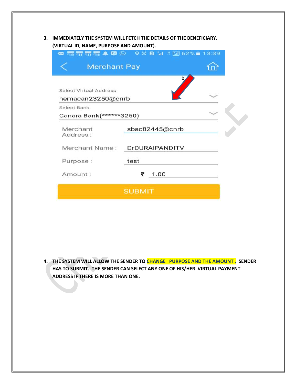**3. IMMEDIATELY THE SYSTEM WILL FETCH THE DETAILS OF THE BENEFICIARY. (VIRTUAL ID, NAME, PURPOSE AND AMOUNT).**

|                               | <b>■ 新新新聞▲ 10 ♀◎ 2 M M 10 62% ■ 13:39</b> |  |
|-------------------------------|-------------------------------------------|--|
| <b>Merchant Pay</b>           |                                           |  |
|                               | b,                                        |  |
| <b>Select Virtual Address</b> |                                           |  |
| hemacan23250@cnrb             |                                           |  |
| Select Bank                   |                                           |  |
| Canara Bank(******3250)       |                                           |  |
| Merchant                      | sbac82445@cnrb                            |  |
| Address:                      |                                           |  |
| Merchant Name:                | DrDURAIPANDITV                            |  |
| Purpose:                      | test                                      |  |
| Amount:                       | 1.00<br>₹                                 |  |
|                               | <b>SUBMIT</b>                             |  |

**4. THE SYSTEM WILL ALLOW THE SENDER TO CHANGE PURPOSE AND THE AMOUNT . SENDER HAS TO SUBMIT. THE SENDER CAN SELECT ANY ONE OF HIS/HER VIRTUAL PAYMENT ADDRESS IF THERE IS MORE THAN ONE.**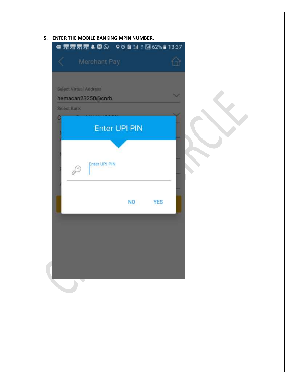## **5. ENTER THE MOBILE BANKING MPIN NUMBER.**

|             | ● 新羅羅羅 409 008 11 1回62% 13:37 |                         |  |
|-------------|-------------------------------|-------------------------|--|
|             | Merchant Pay                  |                         |  |
|             |                               |                         |  |
|             | Select Virtual Address        |                         |  |
|             | hemacan23250@cnrb             |                         |  |
| Select Bank |                               |                         |  |
|             |                               |                         |  |
|             | <b>Enter UPI PIN</b>          |                         |  |
|             |                               |                         |  |
|             |                               |                         |  |
|             | Enter UPI PIN                 |                         |  |
|             |                               |                         |  |
|             |                               |                         |  |
|             |                               | <b>NO</b><br><b>YES</b> |  |
|             |                               |                         |  |
|             |                               |                         |  |
|             |                               |                         |  |
|             |                               |                         |  |
|             |                               |                         |  |
|             |                               |                         |  |
|             |                               |                         |  |
|             |                               |                         |  |
|             |                               |                         |  |
|             |                               |                         |  |
|             |                               |                         |  |
|             |                               |                         |  |
|             |                               |                         |  |